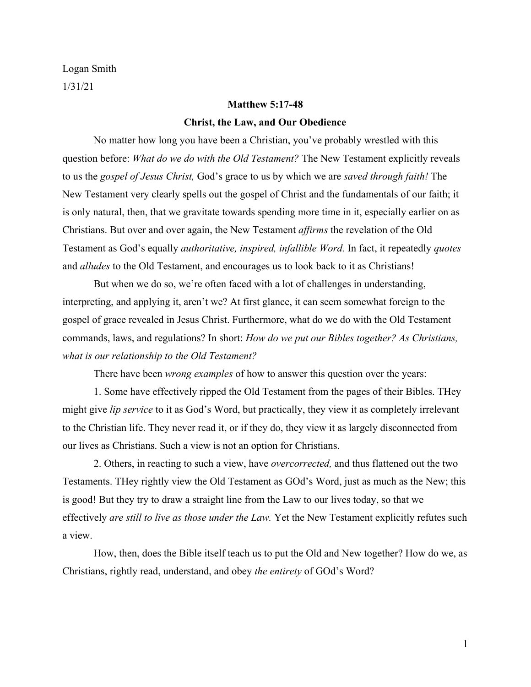Logan Smith 1/31/21

# **Matthew 5:17-48 Christ, the Law, and Our Obedience**

No matter how long you have been a Christian, you've probably wrestled with this question before: *What do we do with the Old Testament?* The New Testament explicitly reveals to us the *gospel of Jesus Christ,* God's grace to us by which we are *saved through faith!* The New Testament very clearly spells out the gospel of Christ and the fundamentals of our faith; it is only natural, then, that we gravitate towards spending more time in it, especially earlier on as Christians. But over and over again, the New Testament *affirms* the revelation of the Old Testament as God's equally *authoritative, inspired, infallible Word.* In fact, it repeatedly *quotes* and *alludes* to the Old Testament, and encourages us to look back to it as Christians!

But when we do so, we're often faced with a lot of challenges in understanding, interpreting, and applying it, aren't we? At first glance, it can seem somewhat foreign to the gospel of grace revealed in Jesus Christ. Furthermore, what do we do with the Old Testament commands, laws, and regulations? In short: *How do we put our Bibles together? As Christians, what is our relationship to the Old Testament?*

There have been *wrong examples* of how to answer this question over the years:

1. Some have effectively ripped the Old Testament from the pages of their Bibles. THey might give *lip service* to it as God's Word, but practically, they view it as completely irrelevant to the Christian life. They never read it, or if they do, they view it as largely disconnected from our lives as Christians. Such a view is not an option for Christians.

2. Others, in reacting to such a view, have *overcorrected,* and thus flattened out the two Testaments. THey rightly view the Old Testament as GOd's Word, just as much as the New; this is good! But they try to draw a straight line from the Law to our lives today, so that we effectively *are still to live as those under the Law.* Yet the New Testament explicitly refutes such a view.

How, then, does the Bible itself teach us to put the Old and New together? How do we, as Christians, rightly read, understand, and obey *the entirety* of GOd's Word?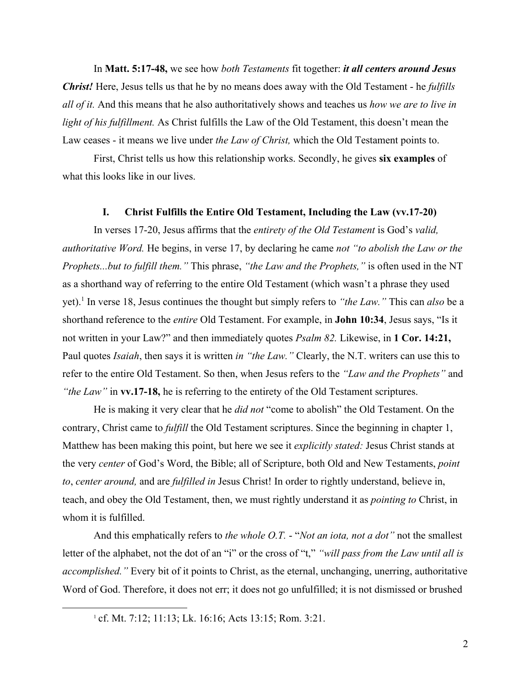In **Matt. 5:17-48,** we see how *both Testaments* fit together: *it all centers around Jesus Christ!* Here, Jesus tells us that he by no means does away with the Old Testament - he *fulfills all of it.* And this means that he also authoritatively shows and teaches us *how we are to live in light of his fulfillment.* As Christ fulfills the Law of the Old Testament, this doesn't mean the Law ceases - it means we live under *the Law of Christ,* which the Old Testament points to.

First, Christ tells us how this relationship works. Secondly, he gives **six examples** of what this looks like in our lives.

# **I. Christ Fulfills the Entire Old Testament, Including the Law (vv.17-20)**

In verses 17-20, Jesus affirms that the *entirety of the Old Testament* is God's *valid, authoritative Word.* He begins, in verse 17, by declaring he came *not "to abolish the Law or the Prophets...but to fulfill them."* This phrase, *"the Law and the Prophets,"* is often used in the NT as a shorthand way of referring to the entire Old Testament (which wasn't a phrase they used yet).<sup>1</sup> In verse 18, Jesus continues the thought but simply refers to *"the Law."* This can *also* be a shorthand reference to the *entire* Old Testament. For example, in **John 10:34**, Jesus says, "Is it not written in your Law?" and then immediately quotes *Psalm 82.* Likewise, in **1 Cor. 14:21,** Paul quotes *Isaiah*, then says it is written *in "the Law."* Clearly, the N.T. writers can use this to refer to the entire Old Testament. So then, when Jesus refers to the *"Law and the Prophets"* and *"the Law"* in **vv.17-18,** he is referring to the entirety of the Old Testament scriptures.

He is making it very clear that he *did not* "come to abolish" the Old Testament. On the contrary, Christ came to *fulfill* the Old Testament scriptures. Since the beginning in chapter 1, Matthew has been making this point, but here we see it *explicitly stated:* Jesus Christ stands at the very *center* of God's Word, the Bible; all of Scripture, both Old and New Testaments, *point to*, *center around,* and are *fulfilled in* Jesus Christ! In order to rightly understand, believe in, teach, and obey the Old Testament, then, we must rightly understand it as *pointing to* Christ, in whom it is fulfilled.

And this emphatically refers to *the whole O.T.* - "*Not an iota, not a dot"* not the smallest letter of the alphabet, not the dot of an "i" or the cross of "t," *"will pass from the Law until all is accomplished."* Every bit of it points to Christ, as the eternal, unchanging, unerring, authoritative Word of God. Therefore, it does not err; it does not go unfulfilled; it is not dismissed or brushed

<sup>1</sup> cf. Mt. 7:12; 11:13; Lk. 16:16; Acts 13:15; Rom. 3:21.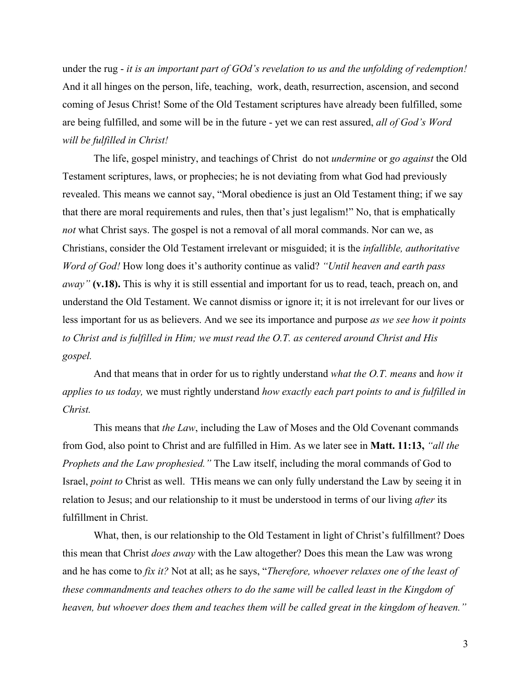under the rug - *it is an important part of GOd's revelation to us and the unfolding of redemption!* And it all hinges on the person, life, teaching, work, death, resurrection, ascension, and second coming of Jesus Christ! Some of the Old Testament scriptures have already been fulfilled, some are being fulfilled, and some will be in the future - yet we can rest assured, *all of God's Word will be fulfilled in Christ!*

The life, gospel ministry, and teachings of Christ do not *undermine* or *go against* the Old Testament scriptures, laws, or prophecies; he is not deviating from what God had previously revealed. This means we cannot say, "Moral obedience is just an Old Testament thing; if we say that there are moral requirements and rules, then that's just legalism!" No, that is emphatically *not* what Christ says. The gospel is not a removal of all moral commands. Nor can we, as Christians, consider the Old Testament irrelevant or misguided; it is the *infallible, authoritative Word of God!* How long does it's authority continue as valid? *"Until heaven and earth pass away"* **(v.18).** This is why it is still essential and important for us to read, teach, preach on, and understand the Old Testament. We cannot dismiss or ignore it; it is not irrelevant for our lives or less important for us as believers. And we see its importance and purpose *as we see how it points to Christ and is fulfilled in Him; we must read the O.T. as centered around Christ and His gospel.*

And that means that in order for us to rightly understand *what the O.T. means* and *how it applies to us today,* we must rightly understand *how exactly each part points to and is fulfilled in Christ.*

This means that *the Law*, including the Law of Moses and the Old Covenant commands from God, also point to Christ and are fulfilled in Him. As we later see in **Matt. 11:13,** *"all the Prophets and the Law prophesied."* The Law itself, including the moral commands of God to Israel, *point to* Christ as well. THis means we can only fully understand the Law by seeing it in relation to Jesus; and our relationship to it must be understood in terms of our living *after* its fulfillment in Christ.

What, then, is our relationship to the Old Testament in light of Christ's fulfillment? Does this mean that Christ *does away* with the Law altogether? Does this mean the Law was wrong and he has come to *fix it?* Not at all; as he says, "*Therefore, whoever relaxes one of the least of these commandments and teaches others to do the same will be called least in the Kingdom of heaven, but whoever does them and teaches them will be called great in the kingdom of heaven."*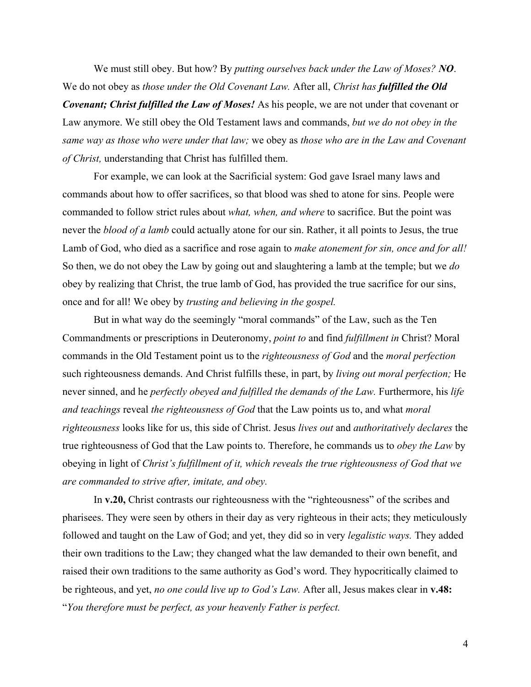We must still obey. But how? By *putting ourselves back under the Law of Moses? NO*. We do not obey as *those under the Old Covenant Law.* After all, *Christ has fulfilled the Old Covenant; Christ fulfilled the Law of Moses!* As his people, we are not under that covenant or Law anymore. We still obey the Old Testament laws and commands, *but we do not obey in the same way as those who were under that law;* we obey as *those who are in the Law and Covenant of Christ,* understanding that Christ has fulfilled them.

For example, we can look at the Sacrificial system: God gave Israel many laws and commands about how to offer sacrifices, so that blood was shed to atone for sins. People were commanded to follow strict rules about *what, when, and where* to sacrifice. But the point was never the *blood of a lamb* could actually atone for our sin. Rather, it all points to Jesus, the true Lamb of God, who died as a sacrifice and rose again to *make atonement for sin, once and for all!* So then, we do not obey the Law by going out and slaughtering a lamb at the temple; but we *do* obey by realizing that Christ, the true lamb of God, has provided the true sacrifice for our sins, once and for all! We obey by *trusting and believing in the gospel.*

But in what way do the seemingly "moral commands" of the Law, such as the Ten Commandments or prescriptions in Deuteronomy, *point to* and find *fulfillment in* Christ? Moral commands in the Old Testament point us to the *righteousness of God* and the *moral perfection* such righteousness demands. And Christ fulfills these, in part, by *living out moral perfection;* He never sinned, and he *perfectly obeyed and fulfilled the demands of the Law*. Furthermore, his *life and teachings* reveal *the righteousness of God* that the Law points us to, and what *moral righteousness* looks like for us, this side of Christ. Jesus *lives out* and *authoritatively declares* the true righteousness of God that the Law points to. Therefore, he commands us to *obey the Law* by obeying in light of *Christ's fulfillment of it, which reveals the true righteousness of God that we are commanded to strive after, imitate, and obey.*

In **v.20,** Christ contrasts our righteousness with the "righteousness" of the scribes and pharisees. They were seen by others in their day as very righteous in their acts; they meticulously followed and taught on the Law of God; and yet, they did so in very *legalistic ways.* They added their own traditions to the Law; they changed what the law demanded to their own benefit, and raised their own traditions to the same authority as God's word. They hypocritically claimed to be righteous, and yet, *no one could live up to God's Law.* After all, Jesus makes clear in **v.48:** "*You therefore must be perfect, as your heavenly Father is perfect.*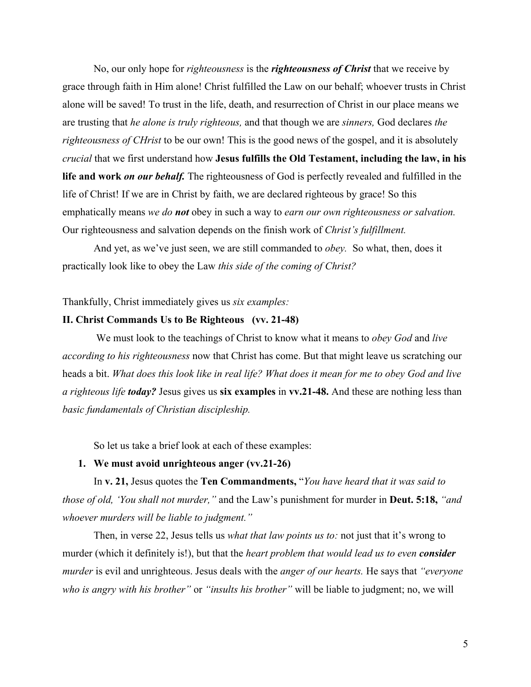No, our only hope for *righteousness* is the *righteousness of Christ* that we receive by grace through faith in Him alone! Christ fulfilled the Law on our behalf; whoever trusts in Christ alone will be saved! To trust in the life, death, and resurrection of Christ in our place means we are trusting that *he alone is truly righteous,* and that though we are *sinners,* God declares *the righteousness of CHrist* to be our own! This is the good news of the gospel, and it is absolutely *crucial* that we first understand how **Jesus fulfills the Old Testament, including the law, in his life and work** *on our behalf.* The righteousness of God is perfectly revealed and fulfilled in the life of Christ! If we are in Christ by faith, we are declared righteous by grace! So this emphatically means *we do not* obey in such a way to *earn our own righteousness or salvation.* Our righteousness and salvation depends on the finish work of *Christ's fulfillment.*

And yet, as we've just seen, we are still commanded to *obey.* So what, then, does it practically look like to obey the Law *this side of the coming of Christ?*

Thankfully, Christ immediately gives us *six examples:*

# **II. Christ Commands Us to Be Righteous (vv. 21-48)**

We must look to the teachings of Christ to know what it means to *obey God* and *live according to his righteousness* now that Christ has come. But that might leave us scratching our heads a bit. *What does this look like in real life? What does it mean for me to obey God and live a righteous life today?* Jesus gives us **six examples** in **vv.21-48.** And these are nothing less than *basic fundamentals of Christian discipleship.*

So let us take a brief look at each of these examples:

# **1. We must avoid unrighteous anger (vv.21-26)**

In **v. 21,** Jesus quotes the **Ten Commandments,** "*You have heard that it was said to those of old, 'You shall not murder,"* and the Law's punishment for murder in **Deut. 5:18,** *"and whoever murders will be liable to judgment."*

Then, in verse 22, Jesus tells us *what that law points us to:* not just that it's wrong to murder (which it definitely is!), but that the *heart problem that would lead us to even consider murder* is evil and unrighteous. Jesus deals with the *anger of our hearts.* He says that *"everyone who is angry with his brother"* or *"insults his brother"* will be liable to judgment; no, we will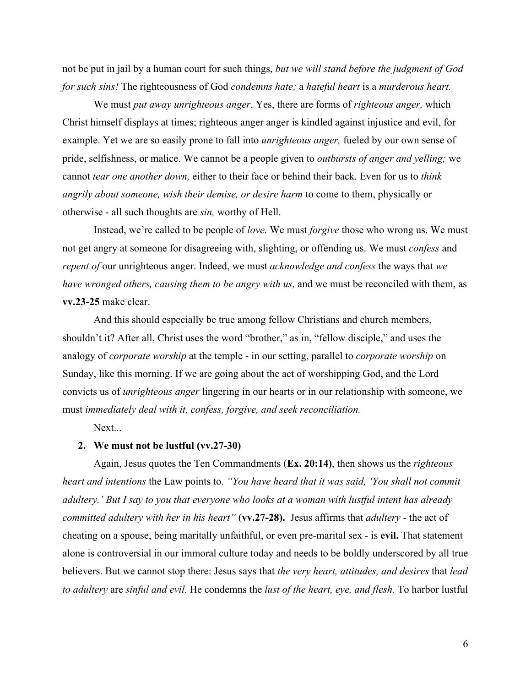not be put in jail by a human court for such things, *but we will stand before the judgment of God for such sins!* The righteousness of God *condemns hate;* a *hateful heart* is a *murderous heart.*

We must *put away unrighteous anger*. Yes, there are forms of *righteous anger,* which Christ himself displays at times; righteous anger anger is kindled against injustice and evil, for example. Yet we are so easily prone to fall into *unrighteous anger,* fueled by our own sense of pride, selfishness, or malice. We cannot be a people given to *outbursts of anger and yelling;* we cannot *tear one another down,* either to their face or behind their back. Even for us to *think angrily about someone, wish their demise, or desire harm* to come to them, physically or otherwise - all such thoughts are *sin,* worthy of Hell.

Instead, we're called to be people of *love.* We must *forgive* those who wrong us. We must not get angry at someone for disagreeing with, slighting, or offending us. We must *confess* and *repent of* our unrighteous anger. Indeed, we must *acknowledge and confess* the ways that *we have wronged others, causing them to be angry with us, and we must be reconciled with them, as* **vv.23-25** make clear.

And this should especially be true among fellow Christians and church members, shouldn't it? After all, Christ uses the word "brother," as in, "fellow disciple," and uses the analogy of *corporate worship* at the temple - in our setting, parallel to *corporate worship* on Sunday, like this morning. If we are going about the act of worshipping God, and the Lord convicts us of *unrighteous anger* lingering in our hearts or in our relationship with someone, we must *immediately deal with it, confess, forgive, and seek reconciliation.*

Next...

#### **2. We must not be lustful (vv.27-30)**

Again, Jesus quotes the Ten Commandments (**Ex. 20:14)**, then shows us the *righteous heart and intentions* the Law points to. *"You have heard that it was said, 'You shall not commit adultery.' But I say to you that everyone who looks at a woman with lustful intent has already committed adultery with her in his heart"* (**vv.27-28).** Jesus affirms that *adultery* - the act of cheating on a spouse, being maritally unfaithful, or even pre-marital sex - is **evil.** That statement alone is controversial in our immoral culture today and needs to be boldly underscored by all true believers. But we cannot stop there: Jesus says that *the very heart, attitudes, and desires* that *lead to adultery* are *sinful and evil.* He condemns the *lust of the heart, eye, and flesh.* To harbor lustful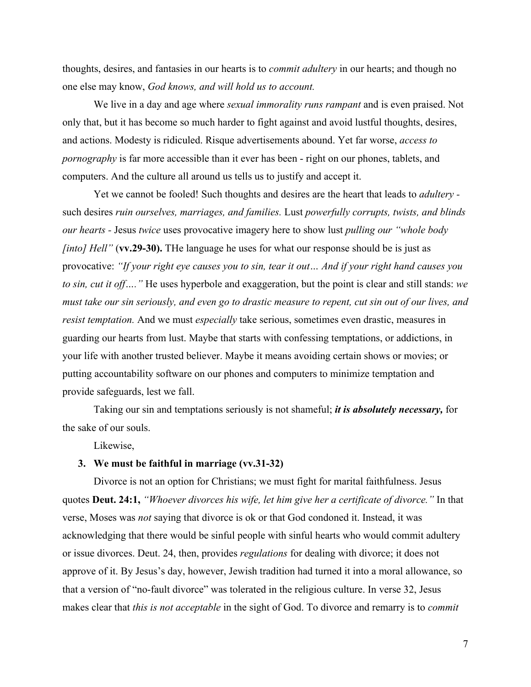thoughts, desires, and fantasies in our hearts is to *commit adultery* in our hearts; and though no one else may know, *God knows, and will hold us to account.*

We live in a day and age where *sexual immorality runs rampant* and is even praised. Not only that, but it has become so much harder to fight against and avoid lustful thoughts, desires, and actions. Modesty is ridiculed. Risque advertisements abound. Yet far worse, *access to pornography* is far more accessible than it ever has been - right on our phones, tablets, and computers. And the culture all around us tells us to justify and accept it.

Yet we cannot be fooled! Such thoughts and desires are the heart that leads to *adultery*  such desires *ruin ourselves, marriages, and families.* Lust *powerfully corrupts, twists, and blinds our hearts -* Jesus *twice* uses provocative imagery here to show lust *pulling our "whole body finto] Hell"* (**vv.29-30**). The language he uses for what our response should be is just as provocative: *"If your right eye causes you to sin, tear it out… And if your right hand causes you to sin, cut it off…."* He uses hyperbole and exaggeration, but the point is clear and still stands: *we must take our sin seriously, and even go to drastic measure to repent, cut sin out of our lives, and resist temptation.* And we must *especially* take serious, sometimes even drastic, measures in guarding our hearts from lust. Maybe that starts with confessing temptations, or addictions, in your life with another trusted believer. Maybe it means avoiding certain shows or movies; or putting accountability software on our phones and computers to minimize temptation and provide safeguards, lest we fall.

Taking our sin and temptations seriously is not shameful; *it is absolutely necessary,* for the sake of our souls.

Likewise,

#### **3. We must be faithful in marriage (vv.31-32)**

Divorce is not an option for Christians; we must fight for marital faithfulness. Jesus quotes **Deut. 24:1,** *"Whoever divorces his wife, let him give her a certificate of divorce."* In that verse, Moses was *not* saying that divorce is ok or that God condoned it. Instead, it was acknowledging that there would be sinful people with sinful hearts who would commit adultery or issue divorces. Deut. 24, then, provides *regulations* for dealing with divorce; it does not approve of it. By Jesus's day, however, Jewish tradition had turned it into a moral allowance, so that a version of "no-fault divorce" was tolerated in the religious culture. In verse 32, Jesus makes clear that *this is not acceptable* in the sight of God. To divorce and remarry is to *commit*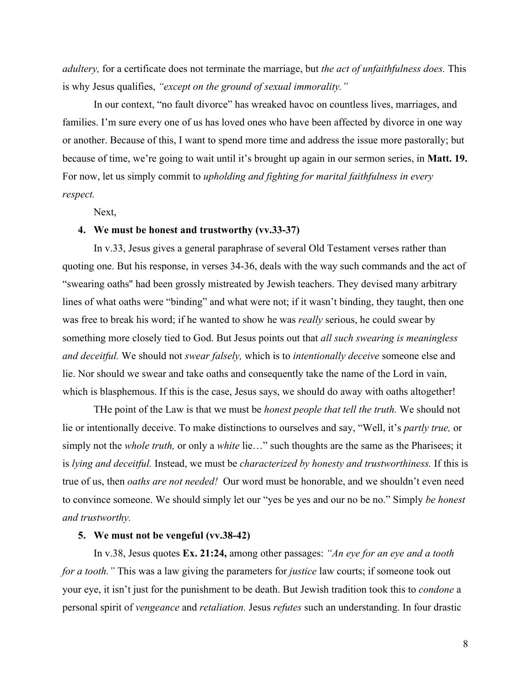*adultery,* for a certificate does not terminate the marriage, but *the act of unfaithfulness does.* This is why Jesus qualifies, *"except on the ground of sexual immorality."*

In our context, "no fault divorce" has wreaked havoc on countless lives, marriages, and families. I'm sure every one of us has loved ones who have been affected by divorce in one way or another. Because of this, I want to spend more time and address the issue more pastorally; but because of time, we're going to wait until it's brought up again in our sermon series, in **Matt. 19.** For now, let us simply commit to *upholding and fighting for marital faithfulness in every respect.*

Next,

## **4. We must be honest and trustworthy (vv.33-37)**

In v.33, Jesus gives a general paraphrase of several Old Testament verses rather than quoting one. But his response, in verses 34-36, deals with the way such commands and the act of "swearing oaths'' had been grossly mistreated by Jewish teachers. They devised many arbitrary lines of what oaths were "binding" and what were not; if it wasn't binding, they taught, then one was free to break his word; if he wanted to show he was *really* serious, he could swear by something more closely tied to God. But Jesus points out that *all such swearing is meaningless and deceitful.* We should not *swear falsely,* which is to *intentionally deceive* someone else and lie. Nor should we swear and take oaths and consequently take the name of the Lord in vain, which is blasphemous. If this is the case, Jesus says, we should do away with oaths altogether!

THe point of the Law is that we must be *honest people that tell the truth.* We should not lie or intentionally deceive. To make distinctions to ourselves and say, "Well, it's *partly true,* or simply not the *whole truth,* or only a *white* lie…" such thoughts are the same as the Pharisees; it is *lying and deceitful.* Instead, we must be *characterized by honesty and trustworthiness.* If this is true of us, then *oaths are not needed!* Our word must be honorable, and we shouldn't even need to convince someone. We should simply let our "yes be yes and our no be no." Simply *be honest and trustworthy.*

### **5. We must not be vengeful (vv.38-42)**

In v.38, Jesus quotes **Ex. 21:24,** among other passages: *"An eye for an eye and a tooth for a tooth."* This was a law giving the parameters for *justice* law courts; if someone took out your eye, it isn't just for the punishment to be death. But Jewish tradition took this to *condone* a personal spirit of *vengeance* and *retaliation.* Jesus *refutes* such an understanding. In four drastic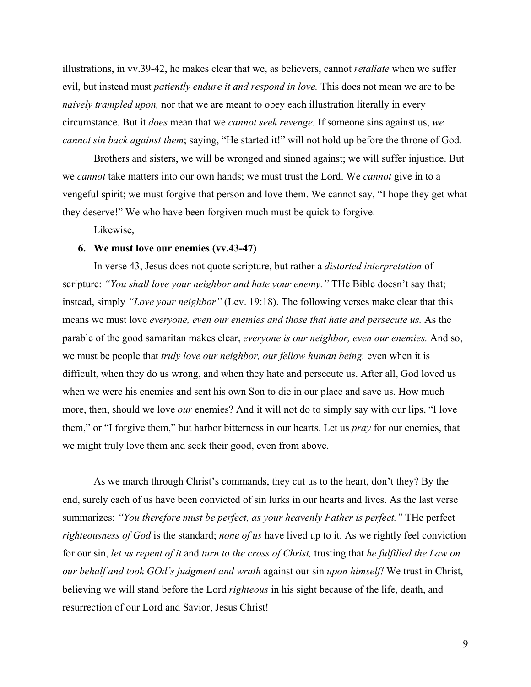illustrations, in vv.39-42, he makes clear that we, as believers, cannot *retaliate* when we suffer evil, but instead must *patiently endure it and respond in love.* This does not mean we are to be *naively trampled upon,* nor that we are meant to obey each illustration literally in every circumstance. But it *does* mean that we *cannot seek revenge.* If someone sins against us, *we cannot sin back against them*; saying, "He started it!" will not hold up before the throne of God.

Brothers and sisters, we will be wronged and sinned against; we will suffer injustice. But we *cannot* take matters into our own hands; we must trust the Lord. We *cannot* give in to a vengeful spirit; we must forgive that person and love them. We cannot say, "I hope they get what they deserve!" We who have been forgiven much must be quick to forgive.

Likewise,

# **6. We must love our enemies (vv.43-47)**

In verse 43, Jesus does not quote scripture, but rather a *distorted interpretation* of scripture: *"You shall love your neighbor and hate your enemy."* THe Bible doesn't say that; instead, simply *"Love your neighbor"* (Lev. 19:18). The following verses make clear that this means we must love *everyone, even our enemies and those that hate and persecute us.* As the parable of the good samaritan makes clear, *everyone is our neighbor, even our enemies.* And so, we must be people that *truly love our neighbor, our fellow human being, even when it is* difficult, when they do us wrong, and when they hate and persecute us. After all, God loved us when we were his enemies and sent his own Son to die in our place and save us. How much more, then, should we love *our* enemies? And it will not do to simply say with our lips, "I love them," or "I forgive them," but harbor bitterness in our hearts. Let us *pray* for our enemies, that we might truly love them and seek their good, even from above.

As we march through Christ's commands, they cut us to the heart, don't they? By the end, surely each of us have been convicted of sin lurks in our hearts and lives. As the last verse summarizes: *"You therefore must be perfect, as your heavenly Father is perfect."* THe perfect *righteousness of God* is the standard; *none of us* have lived up to it. As we rightly feel conviction for our sin, *let us repent of it* and *turn to the cross of Christ,* trusting that *he fulfilled the Law on our behalf and took GOd's judgment and wrath* against our sin *upon himself!* We trust in Christ, believing we will stand before the Lord *righteous* in his sight because of the life, death, and resurrection of our Lord and Savior, Jesus Christ!